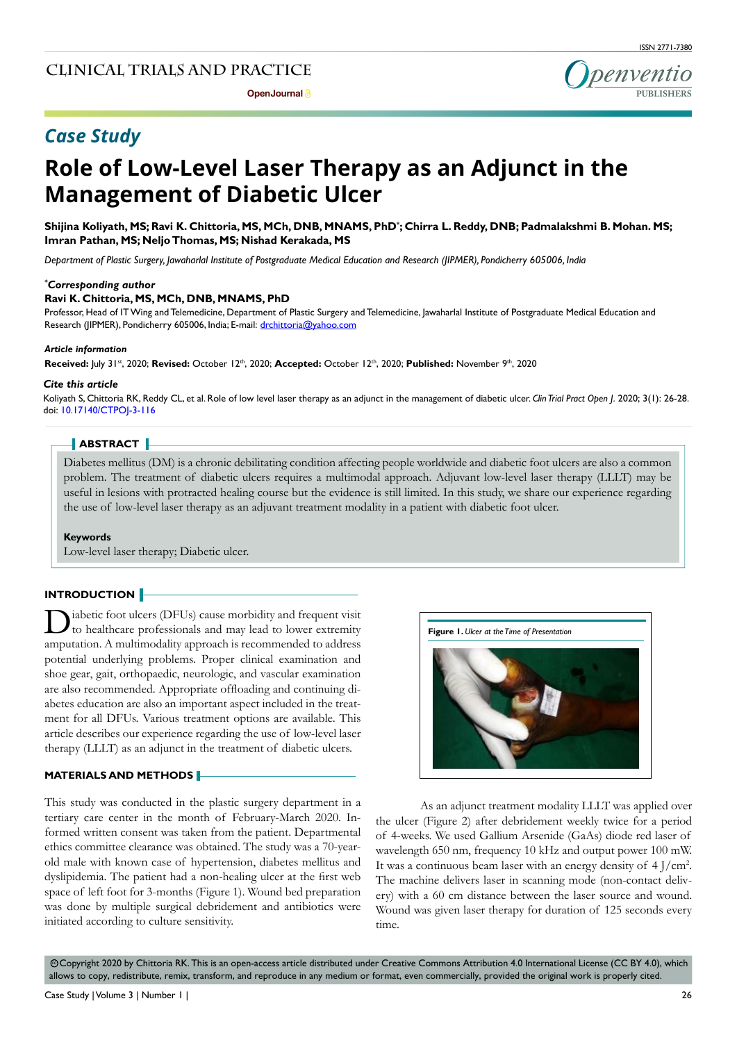

## *Case Study*

# **Role of Low-Level Laser Therapy as an Adjunct in the Management of Diabetic Ulcer**

**Shijina Koliyath, MS; Ravi K. Chittoria, MS, MCh, DNB, MNAMS, PhD\* ; Chirra L. Reddy, DNB; Padmalakshmi B. Mohan. MS; Imran Pathan, MS; Neljo Thomas, MS; Nishad Kerakada, MS** 

*Department of Plastic Surgery, Jawaharlal Institute of Postgraduate Medical Education and Research (JIPMER), Pondicherry 605006, India*

#### *\* Corresponding author*

#### **Ravi K. Chittoria, MS, MCh, DNB, MNAMS, PhD**

Professor, Head of IT Wing and Telemedicine, Department of Plastic Surgery and Telemedicine, Jawaharlal Institute of Postgraduate Medical Education and Research (JIPMER), Pondicherry 605006, India; E-mail: drchittoria@yahoo.com

#### *Article information*

**Received:** July 31st, 2020; **Revised:** October 12th, 2020; **Accepted:** October 12th, 2020; **Published:** November 9th, 2020

#### *Cite this article*

Koliyath S, Chittoria RK, Reddy CL, et al. Role of low level laser therapy as an adjunct in the management of diabetic ulcer. *Clin Trial Pract Open J*. 2020; 3(1): 26-28. doi: [10.17140/CTPOJ-3-116](http://dx.doi.org/10.17140/CTPOJ-3-116)

#### **ABSTRACT**

Diabetes mellitus (DM) is a chronic debilitating condition affecting people worldwide and diabetic foot ulcers are also a common problem. The treatment of diabetic ulcers requires a multimodal approach. Adjuvant low-level laser therapy (LLLT) may be useful in lesions with protracted healing course but the evidence is still limited. In this study, we share our experience regarding the use of low-level laser therapy as an adjuvant treatment modality in a patient with diabetic foot ulcer.

#### **Keywords**

Low-level laser therapy; Diabetic ulcer.

#### **INTRODUCTION**

 $\sum$ iabetic foot ulcers (DFUs) cause morbidity and frequent visit to healthcare professionals and may lead to lower extremity amputation. A multimodality approach is recommended to address potential underlying problems. Proper clinical examination and shoe gear, gait, orthopaedic, neurologic, and vascular examination are also recommended. Appropriate offloading and continuing diabetes education are also an important aspect included in the treatment for all DFUs. Various treatment options are available. This article describes our experience regarding the use of low-level laser therapy (LLLT) as an adjunct in the treatment of diabetic ulcers.

#### **MATERIALS AND METHODS**

This study was conducted in the plastic surgery department in a tertiary care center in the month of February-March 2020. Informed written consent was taken from the patient. Departmental ethics committee clearance was obtained. The study was a 70-yearold male with known case of hypertension, diabetes mellitus and dyslipidemia. The patient had a non-healing ulcer at the first web space of left foot for 3-months (Figure 1). Wound bed preparation was done by multiple surgical debridement and antibiotics were initiated according to culture sensitivity.



As an adjunct treatment modality LLLT was applied over the ulcer (Figure 2) after debridement weekly twice for a period of 4-weeks. We used Gallium Arsenide (GaAs) diode red laser of wavelength 650 nm, frequency 10 kHz and output power 100 mW. It was a continuous beam laser with an energy density of 4 J/cm2 . The machine delivers laser in scanning mode (non-contact delivery) with a 60 cm distance between the laser source and wound. Wound was given laser therapy for duration of 125 seconds every time.

© Copyright 2020 by Chittoria RK. This is an open-access article distributed under Creative Commons Attribution 4.0 International License (CC BY 4.0), which allows to copy, redistribute, remix, transform, and reproduce in any medium or format, even commercially, provided the original work is properly cited.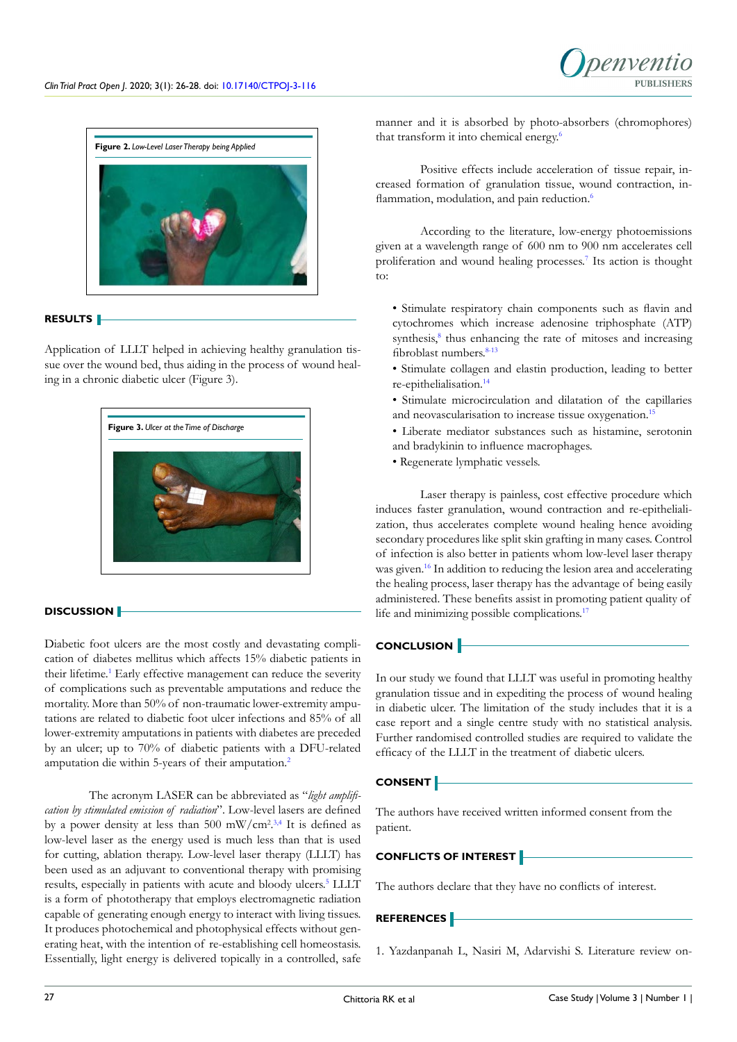

#### **RESULTS**

Application of LLLT helped in achieving healthy granulation tissue over the wound bed, thus aiding in the process of wound healing in a chronic diabetic ulcer (Figure 3).



#### **DISCUSSION**

Diabetic foot ulcers are the most costly and devastating complication of diabetes mellitus which affects 15% diabetic patients in their lifetime.<sup>1</sup> Early effective management can reduce the severity of complications such as preventable amputations and reduce the mortality. More than 50% of non-traumatic lower-extremity amputations are related to diabetic foot ulcer infections and 85% of all lower-extremity amputations in patients with diabetes are preceded by an ulcer; up to 70% of diabetic patients with a DFU-related amputation die within 5-years of their amputation.[2](#page-2-0)

The acronym LASER can be abbreviated as "*light amplification by stimulated emission of radiation*". Low-level lasers are defined by a power density at less than 500 mW/cm<sup>2,[3,4](#page-2-1)</sup> It is defined as low-level laser as the energy used is much less than that is used for cutting, ablation therapy. Low-level laser therapy (LLLT) has been used as an adjuvant to conventional therapy with promising results, especially in patients with acute and bloody ulcers.<sup>5</sup> LLLT is a form of phototherapy that employs electromagnetic radiation capable of generating enough energy to interact with living tissues. It produces photochemical and photophysical effects without generating heat, with the intention of re-establishing cell homeostasis. Essentially, light energy is delivered topically in a controlled, safe

manner and it is absorbed by photo-absorbers (chromophores) that transform it into chemical energy.<sup>[6](#page-2-3)</sup>

Positive effects include acceleration of tissue repair, increased formation of granulation tissue, wound contraction, in-flammation, modulation, and pain reduction.<sup>[6](#page-2-3)</sup>

According to the literature, low-energy photoemissions given at a wavelength range of 600 nm to 900 nm accelerates cell proliferation and wound healing processes.<sup>[7](#page-2-4)</sup> Its action is thought  $t^{\alpha}$ 

- Stimulate respiratory chain components such as flavin and cytochromes which increase adenosine triphosphate (ATP) synthesis,<sup>[8](#page-2-5)</sup> thus enhancing the rate of mitoses and increasing fibroblast numbers.<sup>[8-13](#page-2-5)</sup>
- Stimulate collagen and elastin production, leading to better re-epithelialisation[.14](#page-2-6)
- Stimulate microcirculation and dilatation of the capillaries and neovascularisation to increase tissue oxygenation.<sup>15</sup>
- Liberate mediator substances such as histamine, serotonin and bradykinin to influence macrophages.
- Regenerate lymphatic vessels.

Laser therapy is painless, cost effective procedure which induces faster granulation, wound contraction and re-epithelialization, thus accelerates complete wound healing hence avoiding secondary procedures like split skin grafting in many cases. Control of infection is also better in patients whom low-level laser therapy was given.<sup>[16](#page-2-8)</sup> In addition to reducing the lesion area and accelerating the healing process, laser therapy has the advantage of being easily administered. These benefits assist in promoting patient quality of life and minimizing possible complications.<sup>17</sup>

### **CONCLUSION**

In our study we found that LLLT was useful in promoting healthy granulation tissue and in expediting the process of wound healing in diabetic ulcer. The limitation of the study includes that it is a case report and a single centre study with no statistical analysis. Further randomised controlled studies are required to validate the efficacy of the LLLT in the treatment of diabetic ulcers.

#### **CONSENT**

The authors have received written informed consent from the patient.

#### **CONFLICTS OF INTEREST**

The authors declare that they have no conflicts of interest.

## **REFERENCES**

<span id="page-1-0"></span>1. Yazdanpanah L, Nasiri M, Adarvishi S. Literature review on-